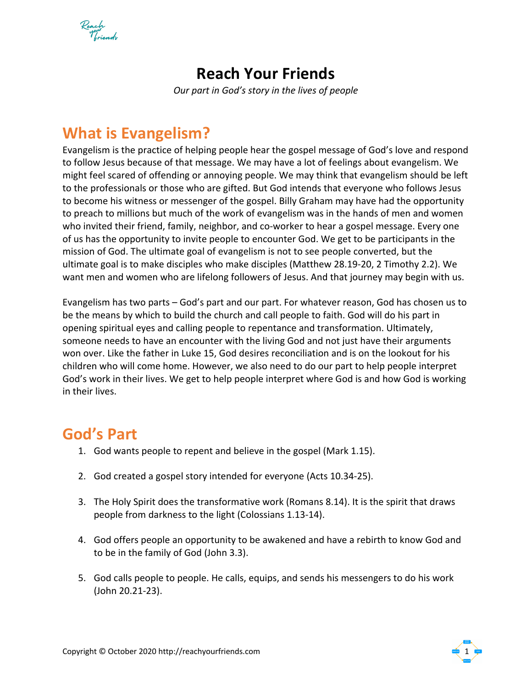Reach<br>Voriende

## **Reach Your Friends**

*Our part in God's story in the lives of people*

## **What is Evangelism?**

Evangelism is the practice of helping people hear the gospel message of God's love and respond to follow Jesus because of that message. We may have a lot of feelings about evangelism. We might feel scared of offending or annoying people. We may think that evangelism should be left to the professionals or those who are gifted. But God intends that everyone who follows Jesus to become his witness or messenger of the gospel. Billy Graham may have had the opportunity to preach to millions but much of the work of evangelism was in the hands of men and women who invited their friend, family, neighbor, and co-worker to hear a gospel message. Every one of us has the opportunity to invite people to encounter God. We get to be participants in the mission of God. The ultimate goal of evangelism is not to see people converted, but the ultimate goal is to make disciples who make disciples (Matthew 28.19-20, 2 Timothy 2.2). We want men and women who are lifelong followers of Jesus. And that journey may begin with us.

Evangelism has two parts – God's part and our part. For whatever reason, God has chosen us to be the means by which to build the church and call people to faith. God will do his part in opening spiritual eyes and calling people to repentance and transformation. Ultimately, someone needs to have an encounter with the living God and not just have their arguments won over. Like the father in Luke 15, God desires reconciliation and is on the lookout for his children who will come home. However, we also need to do our part to help people interpret God's work in their lives. We get to help people interpret where God is and how God is working in their lives.

## **God's Part**

- 1. God wants people to repent and believe in the gospel (Mark 1.15).
- 2. God created a gospel story intended for everyone (Acts 10.34-25).
- 3. The Holy Spirit does the transformative work (Romans 8.14). It is the spirit that draws people from darkness to the light (Colossians 1.13-14).
- 4. God offers people an opportunity to be awakened and have a rebirth to know God and to be in the family of God (John 3.3).
- 5. God calls people to people. He calls, equips, and sends his messengers to do his work (John 20.21-23).

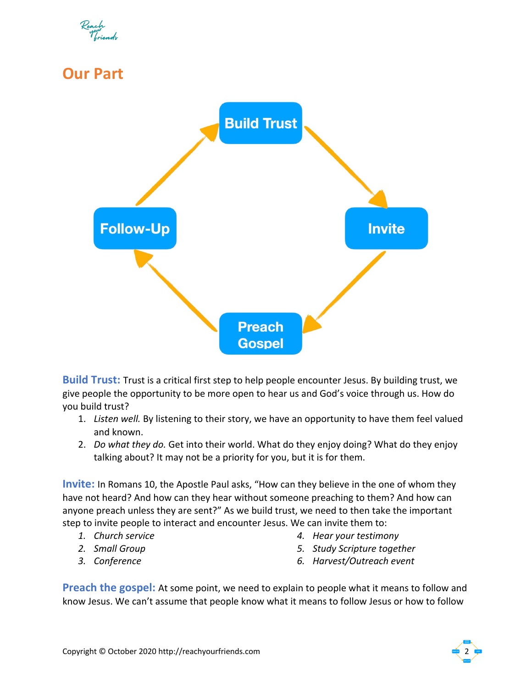## **Our Part**



**Build Trust:** Trust is a critical first step to help people encounter Jesus. By building trust, we give people the opportunity to be more open to hear us and God's voice through us. How do you build trust?

- 1. *Listen well.* By listening to their story, we have an opportunity to have them feel valued and known.
- 2. *Do what they do.* Get into their world. What do they enjoy doing? What do they enjoy talking about? It may not be a priority for you, but it is for them.

**Invite:** In Romans 10, the Apostle Paul asks, "How can they believe in the one of whom they have not heard? And how can they hear without someone preaching to them? And how can anyone preach unless they are sent?" As we build trust, we need to then take the important step to invite people to interact and encounter Jesus. We can invite them to:

- *1. Church service*
- *2. Small Group*
- *3. Conference*
- *4. Hear your testimony*
- *5. Study Scripture together*
- *6. Harvest/Outreach event*

**Preach the gospel:** At some point, we need to explain to people what it means to follow and know Jesus. We can't assume that people know what it means to follow Jesus or how to follow